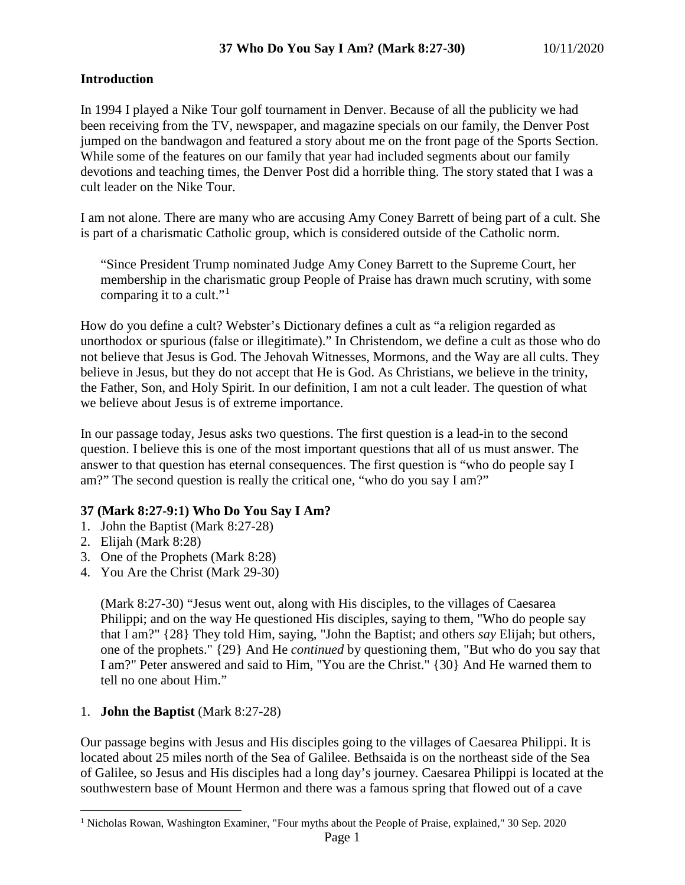# **Introduction**

In 1994 I played a Nike Tour golf tournament in Denver. Because of all the publicity we had been receiving from the TV, newspaper, and magazine specials on our family, the Denver Post jumped on the bandwagon and featured a story about me on the front page of the Sports Section. While some of the features on our family that year had included segments about our family devotions and teaching times, the Denver Post did a horrible thing. The story stated that I was a cult leader on the Nike Tour.

I am not alone. There are many who are accusing Amy Coney Barrett of being part of a cult. She is part of a charismatic Catholic group, which is considered outside of the Catholic norm.

"Since President Trump nominated Judge Amy Coney Barrett to the Supreme Court, her membership in the charismatic group People of Praise has drawn much scrutiny, with some comparing it to a cult."<sup>[1](#page-0-0)</sup>

How do you define a cult? Webster's Dictionary defines a cult as "a religion regarded as unorthodox or spurious (false or illegitimate)." In Christendom, we define a cult as those who do not believe that Jesus is God. The Jehovah Witnesses, Mormons, and the Way are all cults. They believe in Jesus, but they do not accept that He is God. As Christians, we believe in the trinity, the Father, Son, and Holy Spirit. In our definition, I am not a cult leader. The question of what we believe about Jesus is of extreme importance.

In our passage today, Jesus asks two questions. The first question is a lead-in to the second question. I believe this is one of the most important questions that all of us must answer. The answer to that question has eternal consequences. The first question is "who do people say I am?" The second question is really the critical one, "who do you say I am?"

## **37 (Mark 8:27-9:1) Who Do You Say I Am?**

- 1. John the Baptist (Mark 8:27-28)
- 2. Elijah (Mark 8:28)
- 3. One of the Prophets (Mark 8:28)
- 4. You Are the Christ (Mark 29-30)

(Mark 8:27-30) "Jesus went out, along with His disciples, to the villages of Caesarea Philippi; and on the way He questioned His disciples, saying to them, "Who do people say that I am?" {28} They told Him, saying, "John the Baptist; and others *say* Elijah; but others, one of the prophets." {29} And He *continued* by questioning them, "But who do you say that I am?" Peter answered and said to Him, "You are the Christ." {30} And He warned them to tell no one about Him."

# 1. **John the Baptist** (Mark 8:27-28)

Our passage begins with Jesus and His disciples going to the villages of Caesarea Philippi. It is located about 25 miles north of the Sea of Galilee. Bethsaida is on the northeast side of the Sea of Galilee, so Jesus and His disciples had a long day's journey. Caesarea Philippi is located at the southwestern base of Mount Hermon and there was a famous spring that flowed out of a cave

<span id="page-0-0"></span><sup>&</sup>lt;sup>1</sup> Nicholas Rowan, Washington Examiner, "Four myths about the People of Praise, explained," 30 Sep. 2020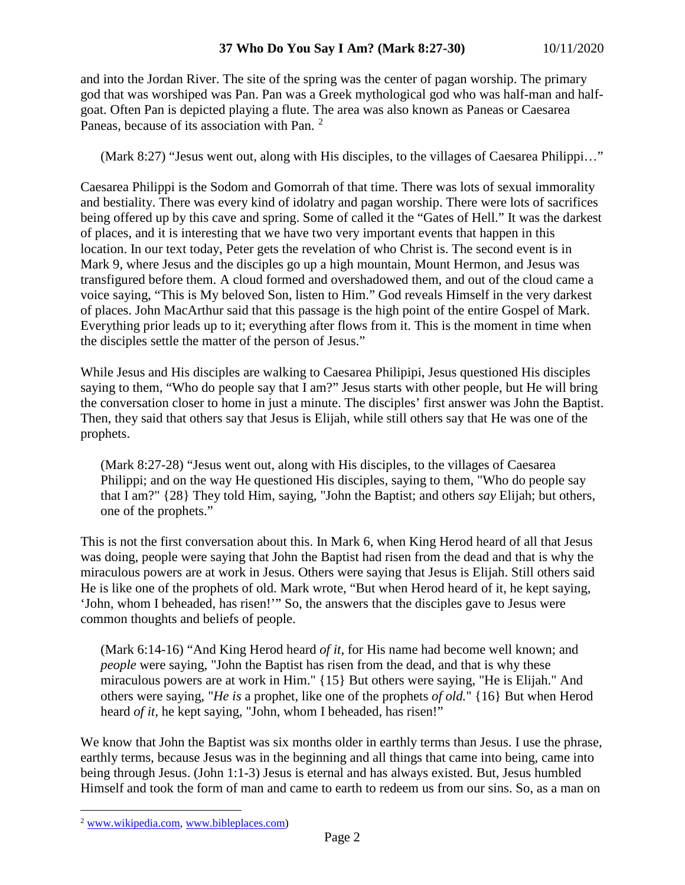and into the Jordan River. The site of the spring was the center of pagan worship. The primary god that was worshiped was Pan. Pan was a Greek mythological god who was half-man and halfgoat. Often Pan is depicted playing a flute. The area was also known as Paneas or Caesarea Paneas, because of its association with Pan. [2](#page-1-0)

(Mark 8:27) "Jesus went out, along with His disciples, to the villages of Caesarea Philippi…"

Caesarea Philippi is the Sodom and Gomorrah of that time. There was lots of sexual immorality and bestiality. There was every kind of idolatry and pagan worship. There were lots of sacrifices being offered up by this cave and spring. Some of called it the "Gates of Hell." It was the darkest of places, and it is interesting that we have two very important events that happen in this location. In our text today, Peter gets the revelation of who Christ is. The second event is in Mark 9, where Jesus and the disciples go up a high mountain, Mount Hermon, and Jesus was transfigured before them. A cloud formed and overshadowed them, and out of the cloud came a voice saying, "This is My beloved Son, listen to Him." God reveals Himself in the very darkest of places. John MacArthur said that this passage is the high point of the entire Gospel of Mark. Everything prior leads up to it; everything after flows from it. This is the moment in time when the disciples settle the matter of the person of Jesus."

While Jesus and His disciples are walking to Caesarea Philipipi, Jesus questioned His disciples saying to them, "Who do people say that I am?" Jesus starts with other people, but He will bring the conversation closer to home in just a minute. The disciples' first answer was John the Baptist. Then, they said that others say that Jesus is Elijah, while still others say that He was one of the prophets.

(Mark 8:27-28) "Jesus went out, along with His disciples, to the villages of Caesarea Philippi; and on the way He questioned His disciples, saying to them, "Who do people say that I am?" {28} They told Him, saying, "John the Baptist; and others *say* Elijah; but others, one of the prophets."

This is not the first conversation about this. In Mark 6, when King Herod heard of all that Jesus was doing, people were saying that John the Baptist had risen from the dead and that is why the miraculous powers are at work in Jesus. Others were saying that Jesus is Elijah. Still others said He is like one of the prophets of old. Mark wrote, "But when Herod heard of it, he kept saying, 'John, whom I beheaded, has risen!'" So, the answers that the disciples gave to Jesus were common thoughts and beliefs of people.

(Mark 6:14-16) "And King Herod heard *of it,* for His name had become well known; and *people* were saying, "John the Baptist has risen from the dead, and that is why these miraculous powers are at work in Him." {15} But others were saying, "He is Elijah." And others were saying, "*He is* a prophet, like one of the prophets *of old.*" {16} But when Herod heard *of it,* he kept saying, "John, whom I beheaded, has risen!"

We know that John the Baptist was six months older in earthly terms than Jesus. I use the phrase, earthly terms, because Jesus was in the beginning and all things that came into being, came into being through Jesus. (John 1:1-3) Jesus is eternal and has always existed. But, Jesus humbled Himself and took the form of man and came to earth to redeem us from our sins. So, as a man on

<span id="page-1-0"></span> <sup>2</sup> [www.wikipedia.com,](http://www.wikipedia.com/) [www.bibleplaces.com\)](http://www.bibleplaces.com/)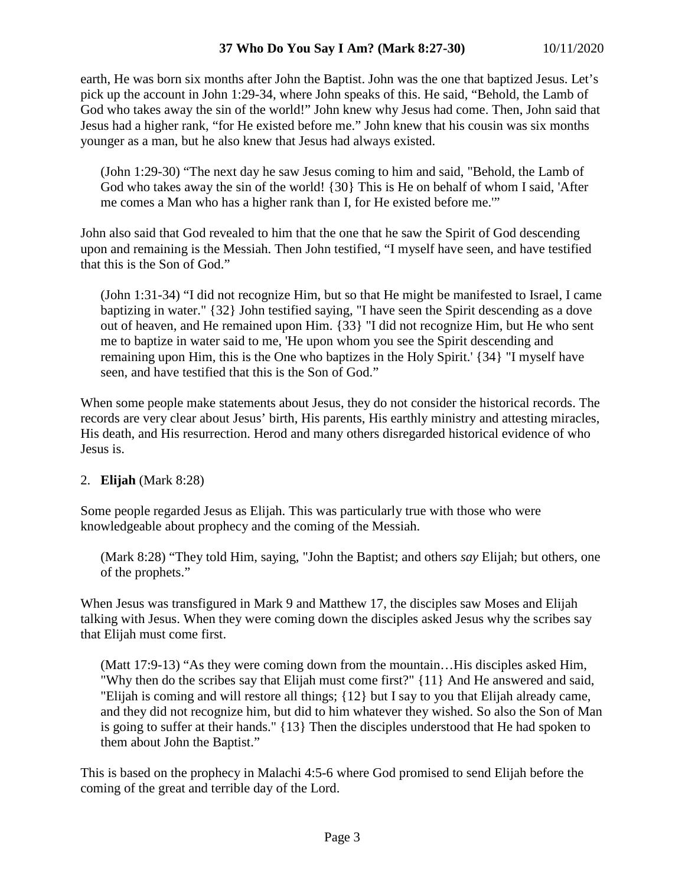earth, He was born six months after John the Baptist. John was the one that baptized Jesus. Let's pick up the account in John 1:29-34, where John speaks of this. He said, "Behold, the Lamb of God who takes away the sin of the world!" John knew why Jesus had come. Then, John said that Jesus had a higher rank, "for He existed before me." John knew that his cousin was six months younger as a man, but he also knew that Jesus had always existed.

(John 1:29-30) "The next day he saw Jesus coming to him and said, "Behold, the Lamb of God who takes away the sin of the world! {30} This is He on behalf of whom I said, 'After me comes a Man who has a higher rank than I, for He existed before me.'"

John also said that God revealed to him that the one that he saw the Spirit of God descending upon and remaining is the Messiah. Then John testified, "I myself have seen, and have testified that this is the Son of God."

(John 1:31-34) "I did not recognize Him, but so that He might be manifested to Israel, I came baptizing in water." {32} John testified saying, "I have seen the Spirit descending as a dove out of heaven, and He remained upon Him. {33} "I did not recognize Him, but He who sent me to baptize in water said to me, 'He upon whom you see the Spirit descending and remaining upon Him, this is the One who baptizes in the Holy Spirit.' {34} "I myself have seen, and have testified that this is the Son of God."

When some people make statements about Jesus, they do not consider the historical records. The records are very clear about Jesus' birth, His parents, His earthly ministry and attesting miracles, His death, and His resurrection. Herod and many others disregarded historical evidence of who Jesus is.

## 2. **Elijah** (Mark 8:28)

Some people regarded Jesus as Elijah. This was particularly true with those who were knowledgeable about prophecy and the coming of the Messiah.

(Mark 8:28) "They told Him, saying, "John the Baptist; and others *say* Elijah; but others, one of the prophets."

When Jesus was transfigured in Mark 9 and Matthew 17, the disciples saw Moses and Elijah talking with Jesus. When they were coming down the disciples asked Jesus why the scribes say that Elijah must come first.

(Matt 17:9-13) "As they were coming down from the mountain…His disciples asked Him, "Why then do the scribes say that Elijah must come first?" {11} And He answered and said, "Elijah is coming and will restore all things; {12} but I say to you that Elijah already came, and they did not recognize him, but did to him whatever they wished. So also the Son of Man is going to suffer at their hands." {13} Then the disciples understood that He had spoken to them about John the Baptist."

This is based on the prophecy in Malachi 4:5-6 where God promised to send Elijah before the coming of the great and terrible day of the Lord.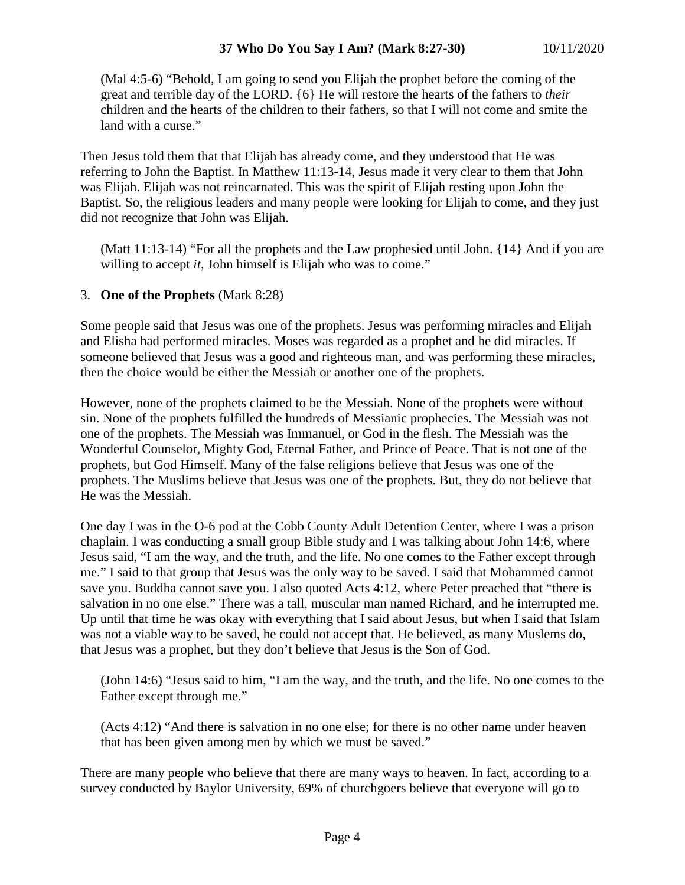(Mal 4:5-6) "Behold, I am going to send you Elijah the prophet before the coming of the great and terrible day of the LORD. {6} He will restore the hearts of the fathers to *their* children and the hearts of the children to their fathers, so that I will not come and smite the land with a curse."

Then Jesus told them that that Elijah has already come, and they understood that He was referring to John the Baptist. In Matthew 11:13-14, Jesus made it very clear to them that John was Elijah. Elijah was not reincarnated. This was the spirit of Elijah resting upon John the Baptist. So, the religious leaders and many people were looking for Elijah to come, and they just did not recognize that John was Elijah.

(Matt 11:13-14) "For all the prophets and the Law prophesied until John. {14} And if you are willing to accept *it*, John himself is Elijah who was to come."

## 3. **One of the Prophets** (Mark 8:28)

Some people said that Jesus was one of the prophets. Jesus was performing miracles and Elijah and Elisha had performed miracles. Moses was regarded as a prophet and he did miracles. If someone believed that Jesus was a good and righteous man, and was performing these miracles, then the choice would be either the Messiah or another one of the prophets.

However, none of the prophets claimed to be the Messiah. None of the prophets were without sin. None of the prophets fulfilled the hundreds of Messianic prophecies. The Messiah was not one of the prophets. The Messiah was Immanuel, or God in the flesh. The Messiah was the Wonderful Counselor, Mighty God, Eternal Father, and Prince of Peace. That is not one of the prophets, but God Himself. Many of the false religions believe that Jesus was one of the prophets. The Muslims believe that Jesus was one of the prophets. But, they do not believe that He was the Messiah.

One day I was in the O-6 pod at the Cobb County Adult Detention Center, where I was a prison chaplain. I was conducting a small group Bible study and I was talking about John 14:6, where Jesus said, "I am the way, and the truth, and the life. No one comes to the Father except through me." I said to that group that Jesus was the only way to be saved. I said that Mohammed cannot save you. Buddha cannot save you. I also quoted Acts 4:12, where Peter preached that "there is salvation in no one else." There was a tall, muscular man named Richard, and he interrupted me. Up until that time he was okay with everything that I said about Jesus, but when I said that Islam was not a viable way to be saved, he could not accept that. He believed, as many Muslems do, that Jesus was a prophet, but they don't believe that Jesus is the Son of God.

(John 14:6) "Jesus said to him, "I am the way, and the truth, and the life. No one comes to the Father except through me."

(Acts 4:12) "And there is salvation in no one else; for there is no other name under heaven that has been given among men by which we must be saved."

There are many people who believe that there are many ways to heaven. In fact, according to a survey conducted by Baylor University, 69% of churchgoers believe that everyone will go to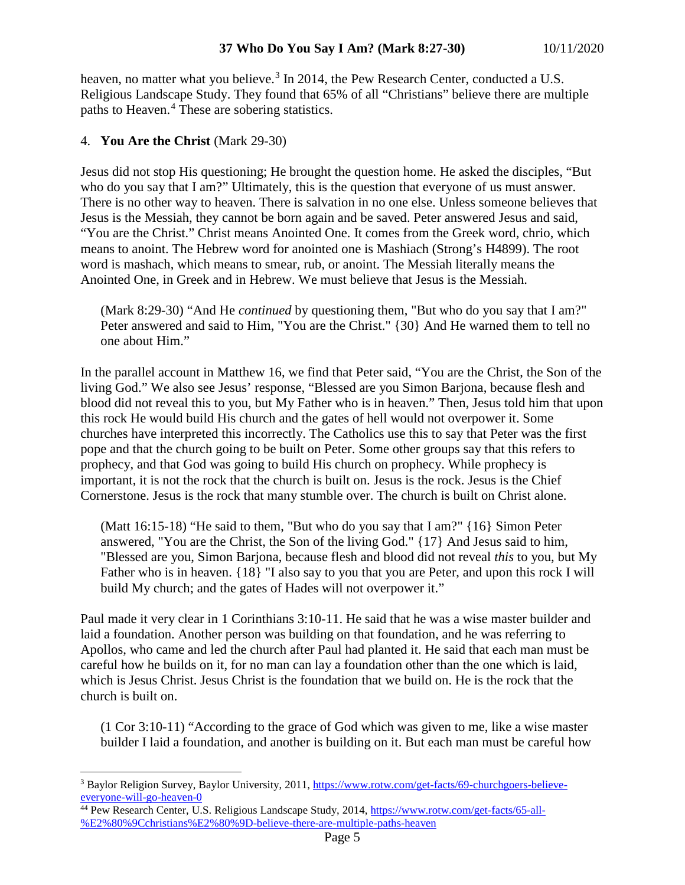heaven, no matter what you believe.<sup>[3](#page-4-0)</sup> In 2014, the Pew Research Center, conducted a U.S. Religious Landscape Study. They found that 65% of all "Christians" believe there are multiple paths to Heaven.[4](#page-4-1) These are sobering statistics.

#### 4. **You Are the Christ** (Mark 29-30)

Jesus did not stop His questioning; He brought the question home. He asked the disciples, "But who do you say that I am?" Ultimately, this is the question that everyone of us must answer. There is no other way to heaven. There is salvation in no one else. Unless someone believes that Jesus is the Messiah, they cannot be born again and be saved. Peter answered Jesus and said, "You are the Christ." Christ means Anointed One. It comes from the Greek word, chrio, which means to anoint. The Hebrew word for anointed one is Mashiach (Strong's H4899). The root word is mashach, which means to smear, rub, or anoint. The Messiah literally means the Anointed One, in Greek and in Hebrew. We must believe that Jesus is the Messiah.

(Mark 8:29-30) "And He *continued* by questioning them, "But who do you say that I am?" Peter answered and said to Him, "You are the Christ." {30} And He warned them to tell no one about Him."

In the parallel account in Matthew 16, we find that Peter said, "You are the Christ, the Son of the living God." We also see Jesus' response, "Blessed are you Simon Barjona, because flesh and blood did not reveal this to you, but My Father who is in heaven." Then, Jesus told him that upon this rock He would build His church and the gates of hell would not overpower it. Some churches have interpreted this incorrectly. The Catholics use this to say that Peter was the first pope and that the church going to be built on Peter. Some other groups say that this refers to prophecy, and that God was going to build His church on prophecy. While prophecy is important, it is not the rock that the church is built on. Jesus is the rock. Jesus is the Chief Cornerstone. Jesus is the rock that many stumble over. The church is built on Christ alone.

(Matt 16:15-18) "He said to them, "But who do you say that I am?" {16} Simon Peter answered, "You are the Christ, the Son of the living God." {17} And Jesus said to him, "Blessed are you, Simon Barjona, because flesh and blood did not reveal *this* to you, but My Father who is in heaven.  ${18}$  "I also say to you that you are Peter, and upon this rock I will build My church; and the gates of Hades will not overpower it."

Paul made it very clear in 1 Corinthians 3:10-11. He said that he was a wise master builder and laid a foundation. Another person was building on that foundation, and he was referring to Apollos, who came and led the church after Paul had planted it. He said that each man must be careful how he builds on it, for no man can lay a foundation other than the one which is laid, which is Jesus Christ. Jesus Christ is the foundation that we build on. He is the rock that the church is built on.

(1 Cor 3:10-11) "According to the grace of God which was given to me, like a wise master builder I laid a foundation, and another is building on it. But each man must be careful how

<span id="page-4-0"></span> <sup>3</sup> Baylor Religion Survey, Baylor University, 2011[, https://www.rotw.com/get-facts/69-churchgoers-believe](https://www.rotw.com/get-facts/69-churchgoers-believe-everyone-will-go-heaven-0)[everyone-will-go-heaven-0](https://www.rotw.com/get-facts/69-churchgoers-believe-everyone-will-go-heaven-0)

<span id="page-4-1"></span><sup>&</sup>lt;sup>44</sup> Pew Research Center, U.S. Religious Landscape Study, 2014, [https://www.rotw.com/get-facts/65-all-](https://www.rotw.com/get-facts/65-all-%E2%80%9Cchristians%E2%80%9D-believe-there-are-multiple-paths-heaven) [%E2%80%9Cchristians%E2%80%9D-believe-there-are-multiple-paths-heaven](https://www.rotw.com/get-facts/65-all-%E2%80%9Cchristians%E2%80%9D-believe-there-are-multiple-paths-heaven)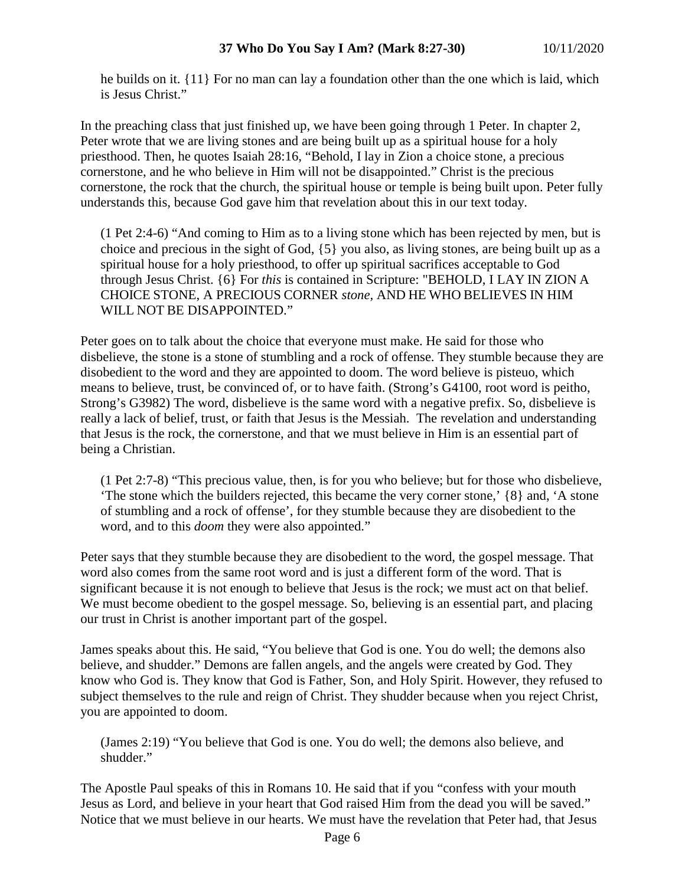he builds on it. {11} For no man can lay a foundation other than the one which is laid, which is Jesus Christ."

In the preaching class that just finished up, we have been going through 1 Peter. In chapter 2, Peter wrote that we are living stones and are being built up as a spiritual house for a holy priesthood. Then, he quotes Isaiah 28:16, "Behold, I lay in Zion a choice stone, a precious cornerstone, and he who believe in Him will not be disappointed." Christ is the precious cornerstone, the rock that the church, the spiritual house or temple is being built upon. Peter fully understands this, because God gave him that revelation about this in our text today.

(1 Pet 2:4-6) "And coming to Him as to a living stone which has been rejected by men, but is choice and precious in the sight of God, {5} you also, as living stones, are being built up as a spiritual house for a holy priesthood, to offer up spiritual sacrifices acceptable to God through Jesus Christ. {6} For *this* is contained in Scripture: "BEHOLD, I LAY IN ZION A CHOICE STONE, A PRECIOUS CORNER *stone,* AND HE WHO BELIEVES IN HIM WILL NOT BE DISAPPOINTED."

Peter goes on to talk about the choice that everyone must make. He said for those who disbelieve, the stone is a stone of stumbling and a rock of offense. They stumble because they are disobedient to the word and they are appointed to doom. The word believe is pisteuo, which means to believe, trust, be convinced of, or to have faith. (Strong's G4100, root word is peitho, Strong's G3982) The word, disbelieve is the same word with a negative prefix. So, disbelieve is really a lack of belief, trust, or faith that Jesus is the Messiah. The revelation and understanding that Jesus is the rock, the cornerstone, and that we must believe in Him is an essential part of being a Christian.

(1 Pet 2:7-8) "This precious value, then, is for you who believe; but for those who disbelieve, 'The stone which the builders rejected, this became the very corner stone,' {8} and, 'A stone of stumbling and a rock of offense', for they stumble because they are disobedient to the word, and to this *doom* they were also appointed."

Peter says that they stumble because they are disobedient to the word, the gospel message. That word also comes from the same root word and is just a different form of the word. That is significant because it is not enough to believe that Jesus is the rock; we must act on that belief. We must become obedient to the gospel message. So, believing is an essential part, and placing our trust in Christ is another important part of the gospel.

James speaks about this. He said, "You believe that God is one. You do well; the demons also believe, and shudder." Demons are fallen angels, and the angels were created by God. They know who God is. They know that God is Father, Son, and Holy Spirit. However, they refused to subject themselves to the rule and reign of Christ. They shudder because when you reject Christ, you are appointed to doom.

(James 2:19) "You believe that God is one. You do well; the demons also believe, and shudder."

The Apostle Paul speaks of this in Romans 10. He said that if you "confess with your mouth Jesus as Lord, and believe in your heart that God raised Him from the dead you will be saved." Notice that we must believe in our hearts. We must have the revelation that Peter had, that Jesus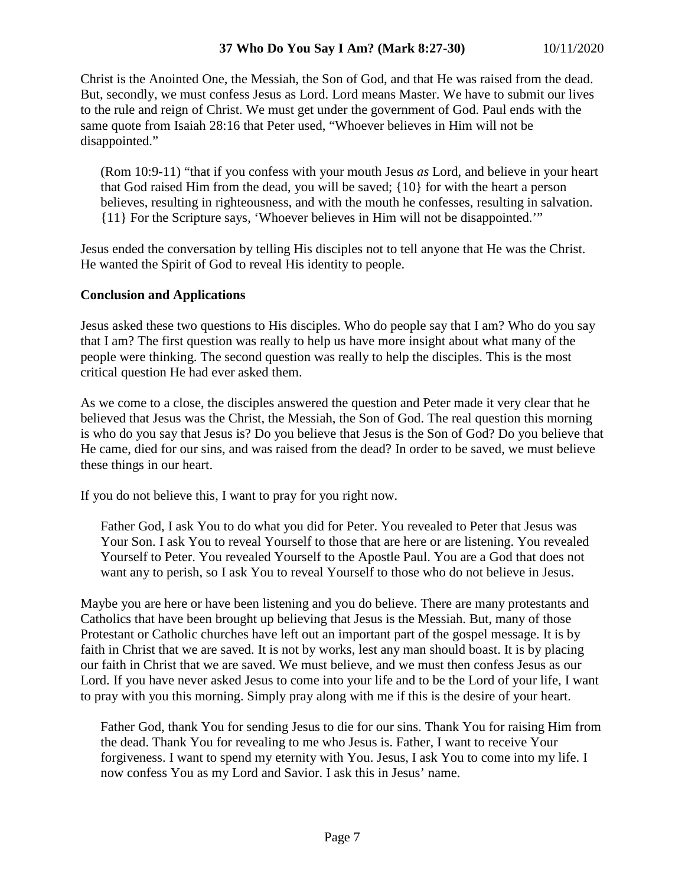## **37 Who Do You Say I Am? (Mark 8:27-30)** 10/11/2020

Christ is the Anointed One, the Messiah, the Son of God, and that He was raised from the dead. But, secondly, we must confess Jesus as Lord. Lord means Master. We have to submit our lives to the rule and reign of Christ. We must get under the government of God. Paul ends with the same quote from Isaiah 28:16 that Peter used, "Whoever believes in Him will not be disappointed."

(Rom 10:9-11) "that if you confess with your mouth Jesus *as* Lord, and believe in your heart that God raised Him from the dead, you will be saved; {10} for with the heart a person believes, resulting in righteousness, and with the mouth he confesses, resulting in salvation. {11} For the Scripture says, 'Whoever believes in Him will not be disappointed.'"

Jesus ended the conversation by telling His disciples not to tell anyone that He was the Christ. He wanted the Spirit of God to reveal His identity to people.

#### **Conclusion and Applications**

Jesus asked these two questions to His disciples. Who do people say that I am? Who do you say that I am? The first question was really to help us have more insight about what many of the people were thinking. The second question was really to help the disciples. This is the most critical question He had ever asked them.

As we come to a close, the disciples answered the question and Peter made it very clear that he believed that Jesus was the Christ, the Messiah, the Son of God. The real question this morning is who do you say that Jesus is? Do you believe that Jesus is the Son of God? Do you believe that He came, died for our sins, and was raised from the dead? In order to be saved, we must believe these things in our heart.

If you do not believe this, I want to pray for you right now.

Father God, I ask You to do what you did for Peter. You revealed to Peter that Jesus was Your Son. I ask You to reveal Yourself to those that are here or are listening. You revealed Yourself to Peter. You revealed Yourself to the Apostle Paul. You are a God that does not want any to perish, so I ask You to reveal Yourself to those who do not believe in Jesus.

Maybe you are here or have been listening and you do believe. There are many protestants and Catholics that have been brought up believing that Jesus is the Messiah. But, many of those Protestant or Catholic churches have left out an important part of the gospel message. It is by faith in Christ that we are saved. It is not by works, lest any man should boast. It is by placing our faith in Christ that we are saved. We must believe, and we must then confess Jesus as our Lord. If you have never asked Jesus to come into your life and to be the Lord of your life, I want to pray with you this morning. Simply pray along with me if this is the desire of your heart.

Father God, thank You for sending Jesus to die for our sins. Thank You for raising Him from the dead. Thank You for revealing to me who Jesus is. Father, I want to receive Your forgiveness. I want to spend my eternity with You. Jesus, I ask You to come into my life. I now confess You as my Lord and Savior. I ask this in Jesus' name.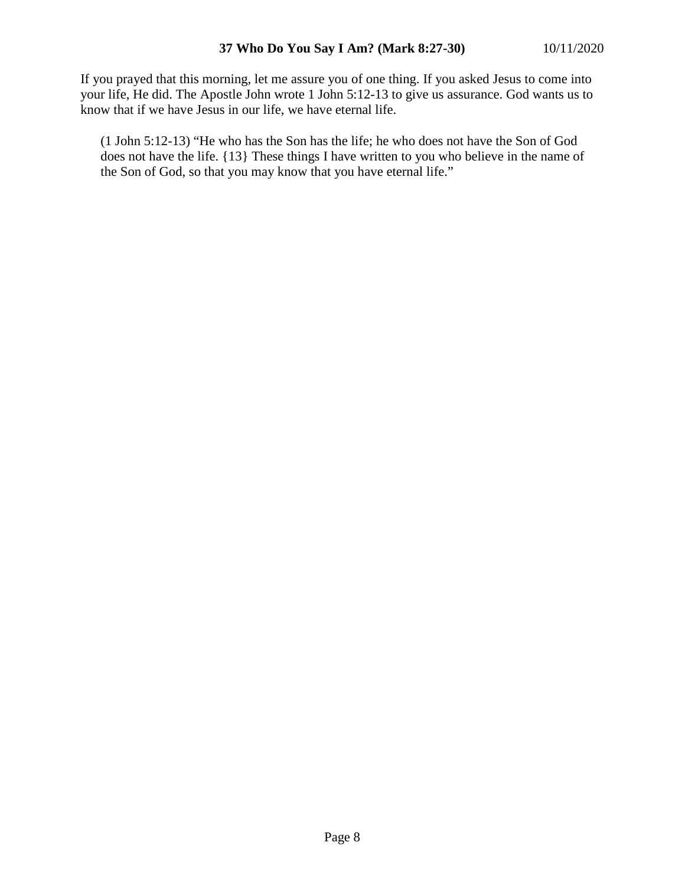If you prayed that this morning, let me assure you of one thing. If you asked Jesus to come into your life, He did. The Apostle John wrote 1 John 5:12-13 to give us assurance. God wants us to know that if we have Jesus in our life, we have eternal life.

(1 John 5:12-13) "He who has the Son has the life; he who does not have the Son of God does not have the life. {13} These things I have written to you who believe in the name of the Son of God, so that you may know that you have eternal life."